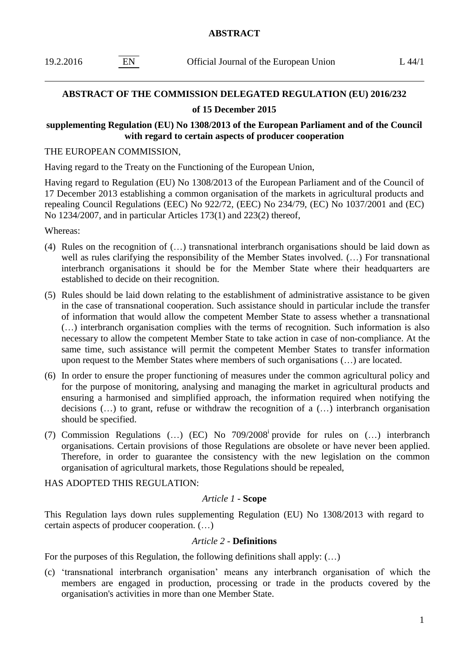| 19.2.2016 | Official Journal of the European Union | L 44/1 |
|-----------|----------------------------------------|--------|
|           |                                        |        |

### **ABSTRACT OF THE COMMISSION DELEGATED REGULATION (EU) 2016/232**

# **of 15 December 2015**

## **supplementing Regulation (EU) No 1308/2013 of the European Parliament and of the Council with regard to certain aspects of producer cooperation**

#### THE EUROPEAN COMMISSION,

Having regard to the Treaty on the Functioning of the European Union,

Having regard to Regulation (EU) No 1308/2013 of the European Parliament and of the Council of 17 December 2013 establishing a common organisation of the markets in agricultural products and repealing Council Regulations (EEC) No 922/72, (EEC) No 234/79, (EC) No 1037/2001 and (EC) No 1234/2007, and in particular Articles 173(1) and 223(2) thereof,

Whereas:

- (4) Rules on the recognition of (…) transnational interbranch organisations should be laid down as well as rules clarifying the responsibility of the Member States involved. (…) For transnational interbranch organisations it should be for the Member State where their headquarters are established to decide on their recognition.
- (5) Rules should be laid down relating to the establishment of administrative assistance to be given in the case of transnational cooperation. Such assistance should in particular include the transfer of information that would allow the competent Member State to assess whether a transnational (…) interbranch organisation complies with the terms of recognition. Such information is also necessary to allow the competent Member State to take action in case of non-compliance. At the same time, such assistance will permit the competent Member States to transfer information upon request to the Member States where members of such organisations (…) are located.
- (6) In order to ensure the proper functioning of measures under the common agricultural policy and for the purpose of monitoring, analysing and managing the market in agricultural products and ensuring a harmonised and simplified approach, the information required when notifying the decisions (…) to grant, refuse or withdraw the recognition of a (…) interbranch organisation should be specified.
- (7) Commission Regulations (...) (EC) No 709/2008<sup>i</sup> provide for rules on (...) interbranch organisations. Certain provisions of those Regulations are obsolete or have never been applied. Therefore, in order to guarantee the consistency with the new legislation on the common organisation of agricultural markets, those Regulations should be repealed,

# HAS ADOPTED THIS REGULATION:

# *Article 1 -* **Scope**

This Regulation lays down rules supplementing Regulation (EU) No 1308/2013 with regard to certain aspects of producer cooperation. (…)

#### *Article 2 -* **Definitions**

For the purposes of this Regulation, the following definitions shall apply: (…)

(c) 'transnational interbranch organisation' means any interbranch organisation of which the members are engaged in production, processing or trade in the products covered by the organisation's activities in more than one Member State.